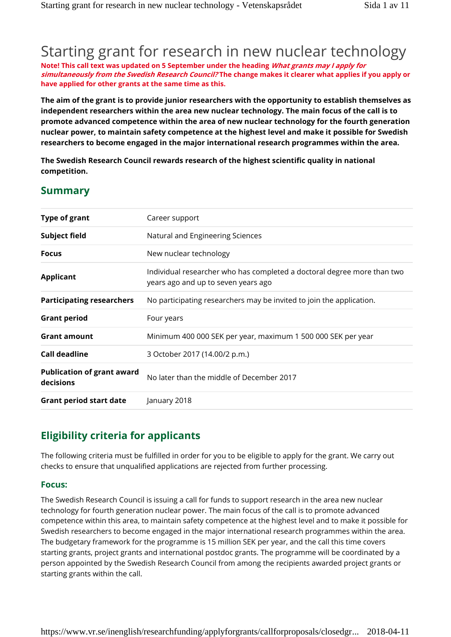# Starting grant for research in new nuclear technology

**Note! This call text was updated on 5 September under the heading** *What grants may I apply for simultaneously from the Swedish Research Council?* **The change makes it clearer what applies if you apply or have applied for other grants at the same time as this.**

**The aim of the grant is to provide junior researchers with the opportunity to establish themselves as independent researchers within the area new nuclear technology. The main focus of the call is to promote advanced competence within the area of new nuclear technology for the fourth generation nuclear power, to maintain safety competence at the highest level and make it possible for Swedish researchers to become engaged in the major international research programmes within the area.**

**The Swedish Research Council rewards research of the highest scientific quality in national competition.**

## **Summary**

| <b>Type of grant</b>                           | Career support                                                                                                 |
|------------------------------------------------|----------------------------------------------------------------------------------------------------------------|
| <b>Subject field</b>                           | Natural and Engineering Sciences                                                                               |
| <b>Focus</b>                                   | New nuclear technology                                                                                         |
| <b>Applicant</b>                               | Individual researcher who has completed a doctoral degree more than two<br>years ago and up to seven years ago |
| <b>Participating researchers</b>               | No participating researchers may be invited to join the application.                                           |
| <b>Grant period</b>                            | Four years                                                                                                     |
| <b>Grant amount</b>                            | Minimum 400 000 SEK per year, maximum 1 500 000 SEK per year                                                   |
| Call deadline                                  | 3 October 2017 (14.00/2 p.m.)                                                                                  |
| <b>Publication of grant award</b><br>decisions | No later than the middle of December 2017                                                                      |
| <b>Grant period start date</b>                 | January 2018                                                                                                   |

## **Eligibility criteria for applicants**

The following criteria must be fulfilled in order for you to be eligible to apply for the grant. We carry out checks to ensure that unqualified applications are rejected from further processing.

### **Focus:**

The Swedish Research Council is issuing a call for funds to support research in the area new nuclear technology for fourth generation nuclear power. The main focus of the call is to promote advanced competence within this area, to maintain safety competence at the highest level and to make it possible for Swedish researchers to become engaged in the major international research programmes within the area. The budgetary framework for the programme is 15 million SEK per year, and the call this time covers starting grants, project grants and international postdoc grants. The programme will be coordinated by a person appointed by the Swedish Research Council from among the recipients awarded project grants or starting grants within the call.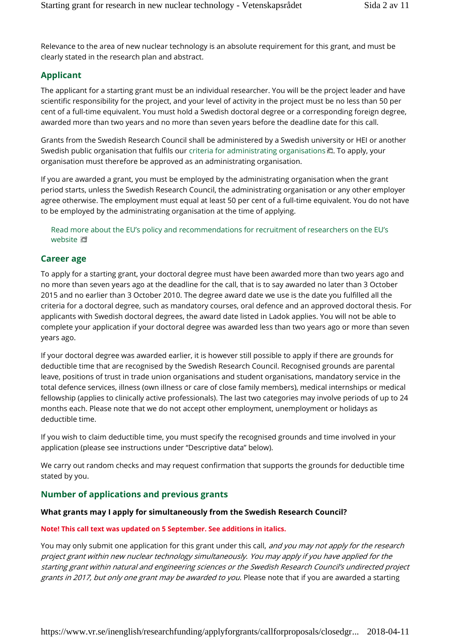Relevance to the area of new nuclear technology is an absolute requirement for this grant, and must be clearly stated in the research plan and abstract.

## **Applicant**

The applicant for a starting grant must be an individual researcher. You will be the project leader and have scientific responsibility for the project, and your level of activity in the project must be no less than 50 per cent of a full-time equivalent. You must hold a Swedish doctoral degree or a corresponding foreign degree, awarded more than two years and no more than seven years before the deadline date for this call.

Grants from the Swedish Research Council shall be administered by a Swedish university or HEI or another Swedish public organisation that fulfils our criteria for administrating organisations  $\Box$ . To apply, your organisation must therefore be approved as an administrating organisation.

If you are awarded a grant, you must be employed by the administrating organisation when the grant period starts, unless the Swedish Research Council, the administrating organisation or any other employer agree otherwise. The employment must equal at least 50 per cent of a full-time equivalent. You do not have to be employed by the administrating organisation at the time of applying.

#### Read more about the EU's policy and recommendations for recruitment of researchers on the EU's website **E**

### **Career age**

To apply for a starting grant, your doctoral degree must have been awarded more than two years ago and no more than seven years ago at the deadline for the call, that is to say awarded no later than 3 October 2015 and no earlier than 3 October 2010. The degree award date we use is the date you fulfilled all the criteria for a doctoral degree, such as mandatory courses, oral defence and an approved doctoral thesis. For applicants with Swedish doctoral degrees, the award date listed in Ladok applies. You will not be able to complete your application if your doctoral degree was awarded less than two years ago or more than seven years ago.

If your doctoral degree was awarded earlier, it is however still possible to apply if there are grounds for deductible time that are recognised by the Swedish Research Council. Recognised grounds are parental leave, positions of trust in trade union organisations and student organisations, mandatory service in the total defence services, illness (own illness or care of close family members), medical internships or medical fellowship (applies to clinically active professionals). The last two categories may involve periods of up to 24 months each. Please note that we do not accept other employment, unemployment or holidays as deductible time.

If you wish to claim deductible time, you must specify the recognised grounds and time involved in your application (please see instructions under "Descriptive data" below).

We carry out random checks and may request confirmation that supports the grounds for deductible time stated by you.

### **Number of applications and previous grants**

#### **What grants may I apply for simultaneously from the Swedish Research Council?**

#### **Note! This call text was updated on 5 September. See additions in italics.**

You may only submit one application for this grant under this call, *and you may not apply for the research project grant within new nuclear technology simultaneously. You may apply if you have applied for the starting grant within natural and engineering sciences or the Swedish Research Council's undirected project grants in 2017, but only one grant may be awarded to you.* Please note that if you are awarded a starting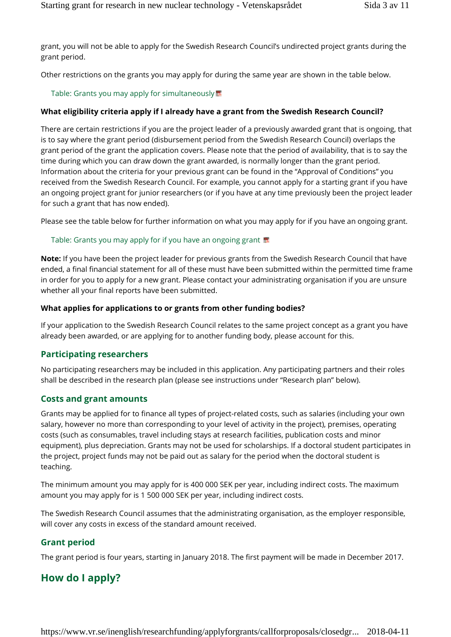grant, you will not be able to apply for the Swedish Research Council's undirected project grants during the grant period.

Other restrictions on the grants you may apply for during the same year are shown in the table below.

#### Table: Grants you may apply for simultaneously

#### **What eligibility criteria apply if I already have a grant from the Swedish Research Council?**

There are certain restrictions if you are the project leader of a previously awarded grant that is ongoing, that is to say where the grant period (disbursement period from the Swedish Research Council) overlaps the grant period of the grant the application covers. Please note that the period of availability, that is to say the time during which you can draw down the grant awarded, is normally longer than the grant period. Information about the criteria for your previous grant can be found in the "Approval of Conditions" you received from the Swedish Research Council. For example, you cannot apply for a starting grant if you have an ongoing project grant for junior researchers (or if you have at any time previously been the project leader for such a grant that has now ended).

Please see the table below for further information on what you may apply for if you have an ongoing grant.

#### Table: Grants you may apply for if you have an ongoing grant

**Note:** If you have been the project leader for previous grants from the Swedish Research Council that have ended, a final financial statement for all of these must have been submitted within the permitted time frame in order for you to apply for a new grant. Please contact your administrating organisation if you are unsure whether all your final reports have been submitted.

#### **What applies for applications to or grants from other funding bodies?**

If your application to the Swedish Research Council relates to the same project concept as a grant you have already been awarded, or are applying for to another funding body, please account for this.

#### **Participating researchers**

No participating researchers may be included in this application. Any participating partners and their roles shall be described in the research plan (please see instructions under "Research plan" below).

#### **Costs and grant amounts**

Grants may be applied for to finance all types of project-related costs, such as salaries (including your own salary, however no more than corresponding to your level of activity in the project), premises, operating costs (such as consumables, travel including stays at research facilities, publication costs and minor equipment), plus depreciation. Grants may not be used for scholarships. If a doctoral student participates in the project, project funds may not be paid out as salary for the period when the doctoral student is teaching.

The minimum amount you may apply for is 400 000 SEK per year, including indirect costs. The maximum amount you may apply for is 1 500 000 SEK per year, including indirect costs.

The Swedish Research Council assumes that the administrating organisation, as the employer responsible, will cover any costs in excess of the standard amount received.

#### **Grant period**

The grant period is four years, starting in January 2018. The first payment will be made in December 2017.

## **How do I apply?**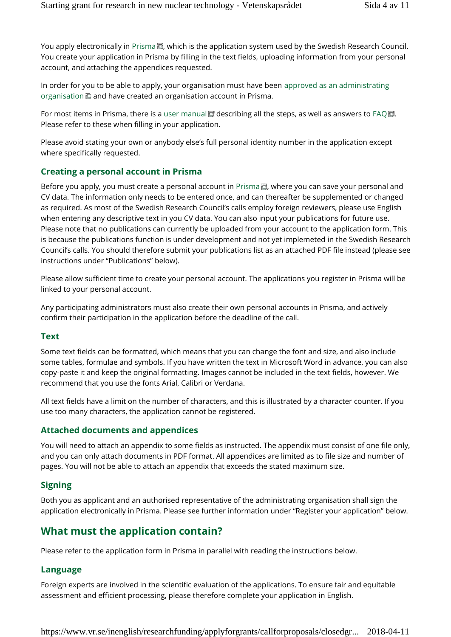You apply electronically in Prisma D, which is the application system used by the Swedish Research Council. You create your application in Prisma by filling in the text fields, uploading information from your personal account, and attaching the appendices requested.

In order for you to be able to apply, your organisation must have been approved as an administrating organisation **a** and have created an organisation account in Prisma.

For most items in Prisma, there is a user manual  $\square$  describing all the steps, as well as answers to FAQ  $\square$ . Please refer to these when filling in your application.

Please avoid stating your own or anybody else's full personal identity number in the application except where specifically requested.

### **Creating a personal account in Prisma**

Before you apply, you must create a personal account in Prisma , where you can save your personal and CV data. The information only needs to be entered once, and can thereafter be supplemented or changed as required. As most of the Swedish Research Council's calls employ foreign reviewers, please use English when entering any descriptive text in you CV data. You can also input your publications for future use. Please note that no publications can currently be uploaded from your account to the application form. This is because the publications function is under development and not yet implemeted in the Swedish Research Council's calls. You should therefore submit your publications list as an attached PDF file instead (please see instructions under "Publications" below).

Please allow sufficient time to create your personal account. The applications you register in Prisma will be linked to your personal account.

Any participating administrators must also create their own personal accounts in Prisma, and actively confirm their participation in the application before the deadline of the call.

#### **Text**

Some text fields can be formatted, which means that you can change the font and size, and also include some tables, formulae and symbols. If you have written the text in Microsoft Word in advance, you can also copy-paste it and keep the original formatting. Images cannot be included in the text fields, however. We recommend that you use the fonts Arial, Calibri or Verdana.

All text fields have a limit on the number of characters, and this is illustrated by a character counter. If you use too many characters, the application cannot be registered.

#### **Attached documents and appendices**

You will need to attach an appendix to some fields as instructed. The appendix must consist of one file only, and you can only attach documents in PDF format. All appendices are limited as to file size and number of pages. You will not be able to attach an appendix that exceeds the stated maximum size.

### **Signing**

Both you as applicant and an authorised representative of the administrating organisation shall sign the application electronically in Prisma. Please see further information under "Register your application" below.

## **What must the application contain?**

Please refer to the application form in Prisma in parallel with reading the instructions below.

#### **Language**

Foreign experts are involved in the scientific evaluation of the applications. To ensure fair and equitable assessment and efficient processing, please therefore complete your application in English.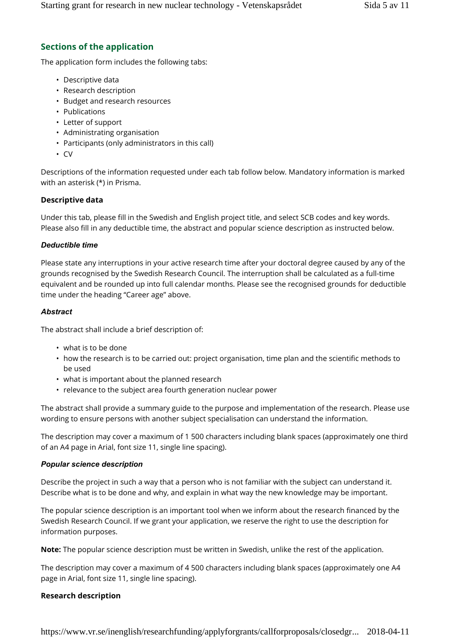## **Sections of the application**

The application form includes the following tabs:

- Descriptive data
- Research description
- Budget and research resources
- Publications
- Letter of support
- Administrating organisation
- Participants (only administrators in this call)
- CV

Descriptions of the information requested under each tab follow below. Mandatory information is marked with an asterisk (\*) in Prisma.

#### **Descriptive data**

Under this tab, please fill in the Swedish and English project title, and select SCB codes and key words. Please also fill in any deductible time, the abstract and popular science description as instructed below.

#### *Deductible time*

Please state any interruptions in your active research time after your doctoral degree caused by any of the grounds recognised by the Swedish Research Council. The interruption shall be calculated as a full-time equivalent and be rounded up into full calendar months. Please see the recognised grounds for deductible time under the heading "Career age" above.

#### *Abstract*

The abstract shall include a brief description of:

- what is to be done
- how the research is to be carried out: project organisation, time plan and the scientific methods to be used
- what is important about the planned research
- relevance to the subject area fourth generation nuclear power

The abstract shall provide a summary guide to the purpose and implementation of the research. Please use wording to ensure persons with another subject specialisation can understand the information.

The description may cover a maximum of 1 500 characters including blank spaces (approximately one third of an A4 page in Arial, font size 11, single line spacing).

#### *Popular science description*

Describe the project in such a way that a person who is not familiar with the subject can understand it. Describe what is to be done and why, and explain in what way the new knowledge may be important.

The popular science description is an important tool when we inform about the research financed by the Swedish Research Council. If we grant your application, we reserve the right to use the description for information purposes.

**Note:** The popular science description must be written in Swedish, unlike the rest of the application.

The description may cover a maximum of 4 500 characters including blank spaces (approximately one A4 page in Arial, font size 11, single line spacing).

#### **Research description**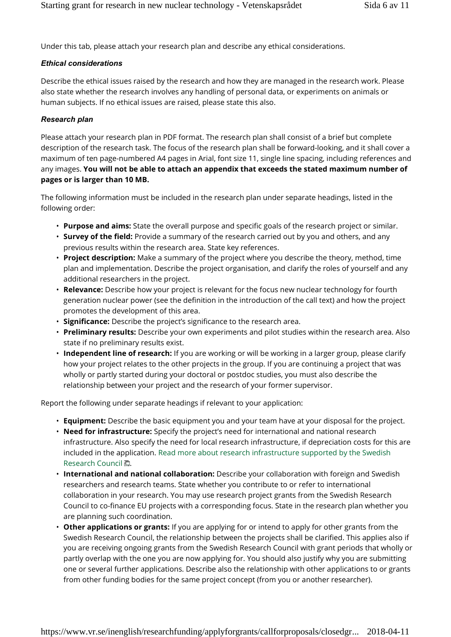Under this tab, please attach your research plan and describe any ethical considerations.

#### *Ethical considerations*

Describe the ethical issues raised by the research and how they are managed in the research work. Please also state whether the research involves any handling of personal data, or experiments on animals or human subjects. If no ethical issues are raised, please state this also.

#### *Research plan*

Please attach your research plan in PDF format. The research plan shall consist of a brief but complete description of the research task. The focus of the research plan shall be forward-looking, and it shall cover a maximum of ten page-numbered A4 pages in Arial, font size 11, single line spacing, including references and any images. **You will not be able to attach an appendix that exceeds the stated maximum number of pages or is larger than 10 MB.**

The following information must be included in the research plan under separate headings, listed in the following order:

- **Purpose and aims:** State the overall purpose and specific goals of the research project or similar.
- **Survey of the field:** Provide a summary of the research carried out by you and others, and any previous results within the research area. State key references.
- **Project description:** Make a summary of the project where you describe the theory, method, time plan and implementation. Describe the project organisation, and clarify the roles of yourself and any additional researchers in the project.
- **Relevance:** Describe how your project is relevant for the focus new nuclear technology for fourth generation nuclear power (see the definition in the introduction of the call text) and how the project promotes the development of this area.
- **Significance:** Describe the project's significance to the research area.
- **Preliminary results:** Describe your own experiments and pilot studies within the research area. Also state if no preliminary results exist.
- **Independent line of research:** If you are working or will be working in a larger group, please clarify how your project relates to the other projects in the group. If you are continuing a project that was wholly or partly started during your doctoral or postdoc studies, you must also describe the relationship between your project and the research of your former supervisor.

Report the following under separate headings if relevant to your application:

- **Equipment:** Describe the basic equipment you and your team have at your disposal for the project.
- **Need for infrastructure:** Specify the project's need for international and national research infrastructure. Also specify the need for local research infrastructure, if depreciation costs for this are included in the application. Read more about research infrastructure supported by the Swedish Research Council ...
- **International and national collaboration:** Describe your collaboration with foreign and Swedish researchers and research teams. State whether you contribute to or refer to international collaboration in your research. You may use research project grants from the Swedish Research Council to co-finance EU projects with a corresponding focus. State in the research plan whether you are planning such coordination.
- **Other applications or grants:** If you are applying for or intend to apply for other grants from the Swedish Research Council, the relationship between the projects shall be clarified. This applies also if you are receiving ongoing grants from the Swedish Research Council with grant periods that wholly or partly overlap with the one you are now applying for. You should also justify why you are submitting one or several further applications. Describe also the relationship with other applications to or grants from other funding bodies for the same project concept (from you or another researcher).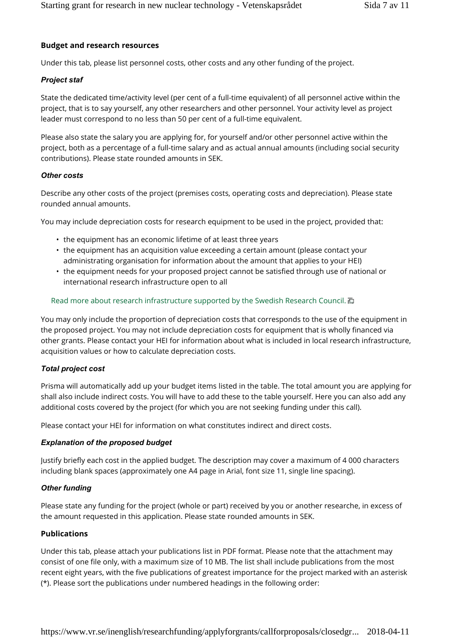#### **Budget and research resources**

Under this tab, please list personnel costs, other costs and any other funding of the project.

#### *Project staf*

State the dedicated time/activity level (per cent of a full-time equivalent) of all personnel active within the project, that is to say yourself, any other researchers and other personnel. Your activity level as project leader must correspond to no less than 50 per cent of a full-time equivalent.

Please also state the salary you are applying for, for yourself and/or other personnel active within the project, both as a percentage of a full-time salary and as actual annual amounts (including social security contributions). Please state rounded amounts in SEK.

#### *Other costs*

Describe any other costs of the project (premises costs, operating costs and depreciation). Please state rounded annual amounts.

You may include depreciation costs for research equipment to be used in the project, provided that:

- the equipment has an economic lifetime of at least three years
- the equipment has an acquisition value exceeding a certain amount (please contact your administrating organisation for information about the amount that applies to your HEI)
- the equipment needs for your proposed project cannot be satisfied through use of national or international research infrastructure open to all

#### Read more about research infrastructure supported by the Swedish Research Council.

You may only include the proportion of depreciation costs that corresponds to the use of the equipment in the proposed project. You may not include depreciation costs for equipment that is wholly financed via other grants. Please contact your HEI for information about what is included in local research infrastructure, acquisition values or how to calculate depreciation costs.

#### *Total project cost*

Prisma will automatically add up your budget items listed in the table. The total amount you are applying for shall also include indirect costs. You will have to add these to the table yourself. Here you can also add any additional costs covered by the project (for which you are not seeking funding under this call).

Please contact your HEI for information on what constitutes indirect and direct costs.

#### *Explanation of the proposed budget*

Justify briefly each cost in the applied budget. The description may cover a maximum of 4 000 characters including blank spaces (approximately one A4 page in Arial, font size 11, single line spacing).

#### *Other funding*

Please state any funding for the project (whole or part) received by you or another researche, in excess of the amount requested in this application. Please state rounded amounts in SEK.

#### **Publications**

Under this tab, please attach your publications list in PDF format. Please note that the attachment may consist of one file only, with a maximum size of 10 MB. The list shall include publications from the most recent eight years, with the five publications of greatest importance for the project marked with an asterisk (\*). Please sort the publications under numbered headings in the following order: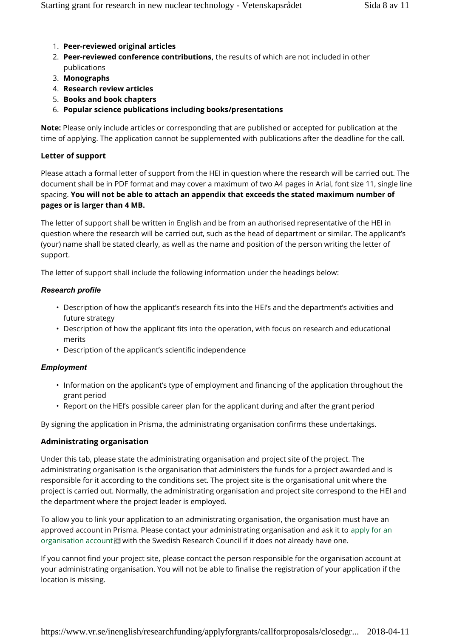- 1. **Peer-reviewed original articles**
- 2. **Peer-reviewed conference contributions,** the results of which are not included in other publications
- 3. **Monographs**
- 4. **Research review articles**
- 5. **Books and book chapters**
- 6. **Popular science publications including books/presentations**

**Note:** Please only include articles or corresponding that are published or accepted for publication at the time of applying. The application cannot be supplemented with publications after the deadline for the call.

#### **Letter of support**

Please attach a formal letter of support from the HEI in question where the research will be carried out. The document shall be in PDF format and may cover a maximum of two A4 pages in Arial, font size 11, single line spacing. **You will not be able to attach an appendix that exceeds the stated maximum number of pages or is larger than 4 MB.**

The letter of support shall be written in English and be from an authorised representative of the HEI in question where the research will be carried out, such as the head of department or similar. The applicant's (your) name shall be stated clearly, as well as the name and position of the person writing the letter of support.

The letter of support shall include the following information under the headings below:

#### *Research profile*

- Description of how the applicant's research fits into the HEI's and the department's activities and future strategy
- Description of how the applicant fits into the operation, with focus on research and educational merits
- Description of the applicant's scientific independence

#### *Employment*

- Information on the applicant's type of employment and financing of the application throughout the grant period
- Report on the HEI's possible career plan for the applicant during and after the grant period

By signing the application in Prisma, the administrating organisation confirms these undertakings.

#### **Administrating organisation**

Under this tab, please state the administrating organisation and project site of the project. The administrating organisation is the organisation that administers the funds for a project awarded and is responsible for it according to the conditions set. The project site is the organisational unit where the project is carried out. Normally, the administrating organisation and project site correspond to the HEI and the department where the project leader is employed.

To allow you to link your application to an administrating organisation, the organisation must have an approved account in Prisma. Please contact your administrating organisation and ask it to apply for an organisation account  $\blacksquare$  with the Swedish Research Council if it does not already have one.

If you cannot find your project site, please contact the person responsible for the organisation account at your administrating organisation. You will not be able to finalise the registration of your application if the location is missing.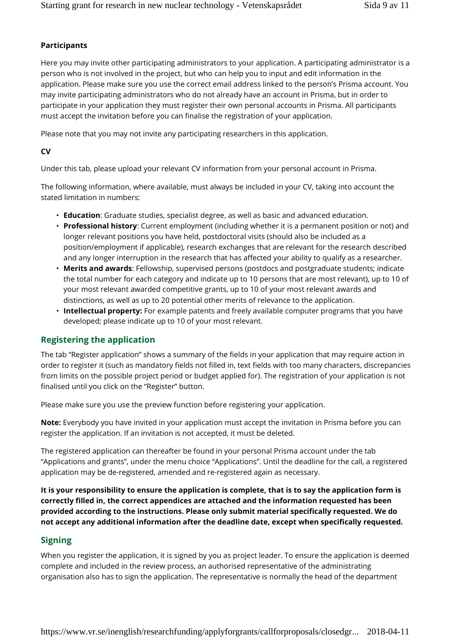#### **Participants**

Here you may invite other participating administrators to your application. A participating administrator is a person who is not involved in the project, but who can help you to input and edit information in the application. Please make sure you use the correct email address linked to the person's Prisma account. You may invite participating administrators who do not already have an account in Prisma, but in order to participate in your application they must register their own personal accounts in Prisma. All participants must accept the invitation before you can finalise the registration of your application.

Please note that you may not invite any participating researchers in this application.

#### **CV**

Under this tab, please upload your relevant CV information from your personal account in Prisma.

The following information, where available, must always be included in your CV, taking into account the stated limitation in numbers:

- **Education**: Graduate studies, specialist degree, as well as basic and advanced education.
- **Professional history**: Current employment (including whether it is a permanent position or not) and longer relevant positions you have held, postdoctoral visits (should also be included as a position/employment if applicable), research exchanges that are relevant for the research described and any longer interruption in the research that has affected your ability to qualify as a researcher.
- **Merits and awards**: Fellowship, supervised persons (postdocs and postgraduate students; indicate the total number for each category and indicate up to 10 persons that are most relevant), up to 10 of your most relevant awarded competitive grants, up to 10 of your most relevant awards and distinctions, as well as up to 20 potential other merits of relevance to the application.
- **Intellectual property:** For example patents and freely available computer programs that you have developed; please indicate up to 10 of your most relevant.

#### **Registering the application**

The tab "Register application" shows a summary of the fields in your application that may require action in order to register it (such as mandatory fields not filled in, text fields with too many characters, discrepancies from limits on the possible project period or budget applied for). The registration of your application is not finalised until you click on the "Register" button.

Please make sure you use the preview function before registering your application.

**Note:** Everybody you have invited in your application must accept the invitation in Prisma before you can register the application. If an invitation is not accepted, it must be deleted.

The registered application can thereafter be found in your personal Prisma account under the tab "Applications and grants", under the menu choice "Applications". Until the deadline for the call, a registered application may be de-registered, amended and re-registered again as necessary.

**It is your responsibility to ensure the application is complete, that is to say the application form is correctly filled in, the correct appendices are attached and the information requested has been provided according to the instructions. Please only submit material specifically requested. We do not accept any additional information after the deadline date, except when specifically requested.**

#### **Signing**

When you register the application, it is signed by you as project leader. To ensure the application is deemed complete and included in the review process, an authorised representative of the administrating organisation also has to sign the application. The representative is normally the head of the department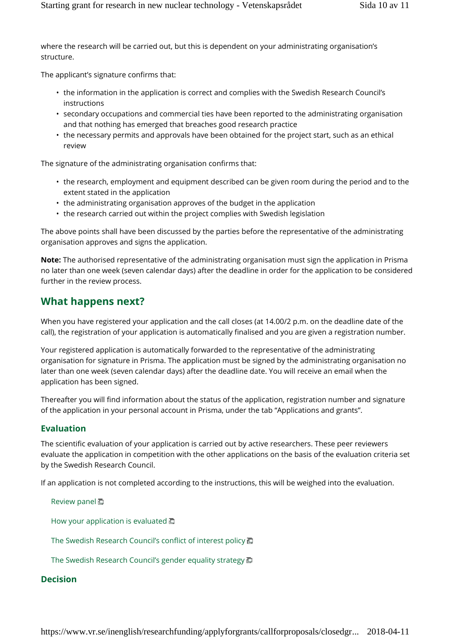where the research will be carried out, but this is dependent on your administrating organisation's structure.

The applicant's signature confirms that:

- the information in the application is correct and complies with the Swedish Research Council's instructions
- secondary occupations and commercial ties have been reported to the administrating organisation and that nothing has emerged that breaches good research practice
- the necessary permits and approvals have been obtained for the project start, such as an ethical review

The signature of the administrating organisation confirms that:

- the research, employment and equipment described can be given room during the period and to the extent stated in the application
- the administrating organisation approves of the budget in the application
- the research carried out within the project complies with Swedish legislation

The above points shall have been discussed by the parties before the representative of the administrating organisation approves and signs the application.

**Note:** The authorised representative of the administrating organisation must sign the application in Prisma no later than one week (seven calendar days) after the deadline in order for the application to be considered further in the review process.

## **What happens next?**

When you have registered your application and the call closes (at 14.00/2 p.m. on the deadline date of the call), the registration of your application is automatically finalised and you are given a registration number.

Your registered application is automatically forwarded to the representative of the administrating organisation for signature in Prisma. The application must be signed by the administrating organisation no later than one week (seven calendar days) after the deadline date. You will receive an email when the application has been signed.

Thereafter you will find information about the status of the application, registration number and signature of the application in your personal account in Prisma, under the tab "Applications and grants".

#### **Evaluation**

The scientific evaluation of your application is carried out by active researchers. These peer reviewers evaluate the application in competition with the other applications on the basis of the evaluation criteria set by the Swedish Research Council.

If an application is not completed according to the instructions, this will be weighed into the evaluation.

Review panel **面** How your application is evaluated  $\Box$ The Swedish Research Council's conflict of interest policy  $\blacksquare$ 

The Swedish Research Council's gender equality strategy  $\overline{\mathbb{D}}$ 

### **Decision**